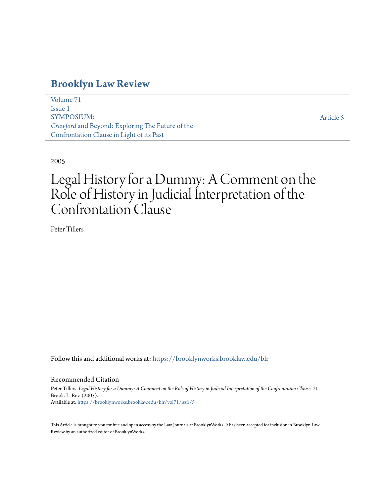### **[Brooklyn Law Review](https://brooklynworks.brooklaw.edu/blr?utm_source=brooklynworks.brooklaw.edu%2Fblr%2Fvol71%2Fiss1%2F5&utm_medium=PDF&utm_campaign=PDFCoverPages)**

[Volume 71](https://brooklynworks.brooklaw.edu/blr/vol71?utm_source=brooklynworks.brooklaw.edu%2Fblr%2Fvol71%2Fiss1%2F5&utm_medium=PDF&utm_campaign=PDFCoverPages) [Issue 1](https://brooklynworks.brooklaw.edu/blr/vol71/iss1?utm_source=brooklynworks.brooklaw.edu%2Fblr%2Fvol71%2Fiss1%2F5&utm_medium=PDF&utm_campaign=PDFCoverPages) SYMPOSIUM: *Crawford* and Beyond: Exploring The Future of the Confrontation Clause in Light of its Past

[Article 5](https://brooklynworks.brooklaw.edu/blr/vol71/iss1/5?utm_source=brooklynworks.brooklaw.edu%2Fblr%2Fvol71%2Fiss1%2F5&utm_medium=PDF&utm_campaign=PDFCoverPages)

2005

# Legal History for a Dummy: A Comment on the Role of History in Judicial Interpretation of the Confrontation Clause

Peter Tillers

Follow this and additional works at: [https://brooklynworks.brooklaw.edu/blr](https://brooklynworks.brooklaw.edu/blr?utm_source=brooklynworks.brooklaw.edu%2Fblr%2Fvol71%2Fiss1%2F5&utm_medium=PDF&utm_campaign=PDFCoverPages)

#### Recommended Citation

Peter Tillers, *Legal History for a Dummy: A Comment on the Role of History in Judicial Interpretation of the Confrontation Clause*, 71 Brook. L. Rev. (2005). Available at: [https://brooklynworks.brooklaw.edu/blr/vol71/iss1/5](https://brooklynworks.brooklaw.edu/blr/vol71/iss1/5?utm_source=brooklynworks.brooklaw.edu%2Fblr%2Fvol71%2Fiss1%2F5&utm_medium=PDF&utm_campaign=PDFCoverPages)

This Article is brought to you for free and open access by the Law Journals at BrooklynWorks. It has been accepted for inclusion in Brooklyn Law Review by an authorized editor of BrooklynWorks.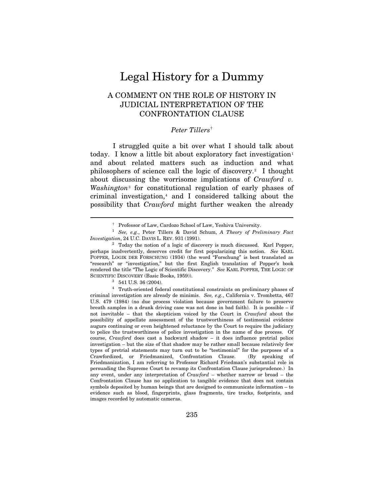## Legal History for a Dummy

### A COMMENT ON THE ROLE OF HISTORY IN JUDICIAL INTERPRETATION OF THE CONFRONTATION CLAUSE

#### *Peter Tillers*[†](#page-1-0)

I struggled quite a bit over what I should talk about today. I know a little bit about exploratory fact investigation<sup>[1](#page-1-1)</sup> and about related matters such as induction and what philosophers of science call the logic of discovery.[2](#page-1-2) I thought about discussing the worrisome implications of *Crawford v. Washington*[3](#page-1-3) for constitutional regulation of early phases of criminal investigation, $4$  and I considered talking about the possibility that *Crawford* might further weaken the already

 <sup>†</sup> Professor of Law, Cardozo School of Law, Yeshiva University.

<span id="page-1-1"></span><span id="page-1-0"></span><sup>1</sup> *See, e.g.*, Peter Tillers & David Schum, *A Theory of Preliminary Fact* 

<span id="page-1-2"></span><sup>&</sup>lt;sup>2</sup> Today the notion of a logic of discovery is much discussed. Karl Popper, perhaps inadvertently, deserves credit for first popularizing this notion. *See* KARL POPPER, LOGIK DER FORSCHUNG (1934) (the word "Forschung" is best translated as "research" or "investigation," but the first English translation of Popper's book rendered the title "The Logic of Scientific Discovery." *See* KARL POPPER, THE LOGIC OF SCIENTIFIC DISCOVERY (Basic Books, 1959)).<br><sup>3</sup> 541 U.S. 36 (2004).

<span id="page-1-4"></span><span id="page-1-3"></span><sup>4</sup> Truth-oriented federal constitutional constraints on preliminary phases of criminal investigation are already de minimis. *See, e.g.*, California v. Trombetta, 467 U.S. 479 (1984) (no due process violation because government failure to preserve breath samples in a drunk driving case was not done in bad faith). It is possible – if not inevitable – that the skepticism voiced by the Court in *Crawford* about the possibility of appellate assessment of the trustworthiness of testimonial evidence augurs continuing or even heightened reluctance by the Court to require the judiciary to police the trustworthiness of police investigation in the name of due process. Of course, *Crawford* does cast a backward shadow – it does influence pretrial police investigation – but the size of that shadow may be rather small because relatively few types of pretrial statements may turn out to be "testimonial" for the purposes of a Crawfordized, or Friedmanized, Confrontation Clause. (By speaking of Friedmanization, I am referring to Professor Richard Friedman's substantial role in persuading the Supreme Court to revamp its Confrontation Clause jurisprudence.) In any event, under any interpretation of *Crawford* – whether narrow or broad – the Confrontation Clause has no application to tangible evidence that does not contain symbols deposited by human beings that are designed to communicate information – to evidence such as blood, fingerprints, glass fragments, tire tracks, footprints, and images recorded by automatic cameras.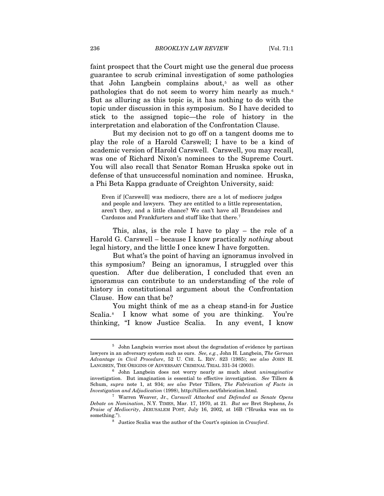faint prospect that the Court might use the general due process guarantee to scrub criminal investigation of some pathologies that John Langbein complains about, $5$  as well as other pathologies that do not seem to worry him nearly as much.[6](#page-2-1) But as alluring as this topic is, it has nothing to do with the topic under discussion in this symposium. So I have decided to stick to the assigned topic—the role of history in the interpretation and elaboration of the Confrontation Clause.

But my decision not to go off on a tangent dooms me to play the role of a Harold Carswell; I have to be a kind of academic version of Harold Carswell. Carswell, you may recall, was one of Richard Nixon's nominees to the Supreme Court. You will also recall that Senator Roman Hruska spoke out in defense of that unsuccessful nomination and nominee. Hruska, a Phi Beta Kappa graduate of Creighton University, said:

Even if [Carswell] was mediocre, there are a lot of mediocre judges and people and lawyers. They are entitled to a little representation, aren't they, and a little chance? We can't have all Brandeises and Cardozos and Frankfurters and stuff like that there.<sup>[7](#page-2-2)</sup>

This, alas, is the role I have to play – the role of a Harold G. Carswell – because I know practically *nothing* about legal history, and the little I once knew I have forgotten.

But what's the point of having an ignoramus involved in this symposium? Being an ignoramus, I struggled over this question. After due deliberation, I concluded that even an ignoramus can contribute to an understanding of the role of history in constitutional argument about the Confrontation Clause. How can that be?

You might think of me as a cheap stand-in for Justice Scalia.<sup>8</sup> I know what some of you are thinking. You're thinking, "I know Justice Scalia. In any event, I know

<span id="page-2-0"></span><sup>&</sup>lt;sup>5</sup> John Langbein worries most about the degradation of evidence by partisan lawyers in an adversary system such as ours. *See, e.g.*, John H. Langbein, *The German Advantage in Civil Procedure*, 52 U. CHI. L. REV. 823 (1985); *see also* JOHN H. LANGBEIN, THE ORIGINS OF ADVERSARY CRIMINAL TRIAL 331-34 (2003). 6 John Langbein does not worry nearly as much about *unimaginative*

<span id="page-2-1"></span>investigation. But imagination is essential to effective investigation. *See* Tillers & Schum, *supra* note 1, at 934; *see also* Peter Tillers, *The Fabrication of Facts in Investigation and Adjudication* (1998), http://tillers.net/fabrication.html. 7 Warren Weaver, Jr., *Carswell Attacked and Defended as Senate Opens* 

<span id="page-2-3"></span><span id="page-2-2"></span>*Debate on Nomination*, N.Y. TIMES, Mar. 17, 1970, at 21. *But see* Bret Stephens, *In Praise of Mediocrity*, JERUSALEM POST, July 16, 2002, at 16B ("Hruska was on to something."). 8 Justice Scalia was the author of the Court's opinion in *Crawford*.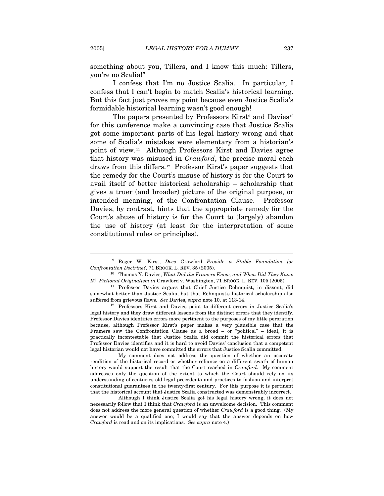something about you, Tillers, and I know this much: Tillers, you're no Scalia!"

I confess that I'm no Justice Scalia. In particular, I confess that I can't begin to match Scalia's historical learning. But this fact just proves my point because even Justice Scalia's formidable historical learning wasn't good enough!

The papers presented by Professors Kirst<sup>[9](#page-3-0)</sup> and Davies<sup>[10](#page-3-1)</sup> for this conference make a convincing case that Justice Scalia got some important parts of his legal history wrong and that some of Scalia's mistakes were elementary from a historian's point of view.[1](#page-3-2)1 Although Professors Kirst and Davies agree that history was misused in *Crawford*, the precise moral each draws from this differs.[1](#page-3-3)2 Professor Kirst's paper suggests that the remedy for the Court's misuse of history is for the Court to avail itself of better historical scholarship – scholarship that gives a truer (and broader) picture of the original purpose, or intended meaning, of the Confrontation Clause. Professor Davies, by contrast, hints that the appropriate remedy for the Court's abuse of history is for the Court to (largely) abandon the use of history (at least for the interpretation of some constitutional rules or principles).

<span id="page-3-3"></span>legal history and they draw different lessons from the distinct errors that they identify. Professor Davies identifies errors more pertinent to the purposes of my little peroration because, although Professor Kirst's paper makes a very plausible case that the Framers saw the Confrontation Clause as a broad – or "political" – ideal, it is practically incontestable that Justice Scalia did commit the historical errors that Professor Davies identifies and it is hard to avoid Davies' conclusion that a competent legal historian would not have committed the errors that Justice Scalia committed.

 My comment does not address the question of whether an accurate rendition of the historical record or whether reliance on a different swath of human history would support the result that the Court reached in *Crawford*. My comment addresses only the question of the extent to which the Court should rely on its understanding of centuries-old legal precedents and practices to fashion and interpret constitutional guarantees in the twenty-first century. For this purpose it is pertinent that the historical account that Justice Scalia constructed was demonstrably incorrect.

 Although I think Justice Scalia got his legal history wrong, it does not necessarily follow that I think that *Crawford* is an unwelcome decision. This comment does not address the more general question of whether *Crawford* is a good thing. (My answer would be a qualified one; I would say that the answer depends on how *Crawford* is read and on its implications. *See supra* note 4.)

<span id="page-3-0"></span><sup>9</sup> Roger W. Kirst, *Does* Crawford *Provide a Stable Foundation for* 

<sup>&</sup>lt;sup>10</sup> Thomas Y. Davies, *What Did the Framers Know, and When Did They Know* 

<span id="page-3-2"></span><span id="page-3-1"></span>*It? Fictional Originalism in* Crawford v. Washington, 71 BROOK. L. REV. 105 (2005). 11 Professor Davies argues that Chief Justice Rehnquist, in dissent, did somewhat better than Justice Scalia, but that Rehnquist's historical scholarship also suffered from grievous flaws. *See* Davies, *supra* note 10, at 113-14.<br><sup>12</sup> Professors Kirst and Davies point to different errors in Justice Scalia's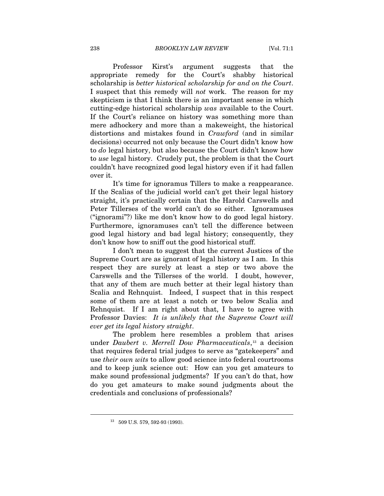Professor Kirst's argument suggests that the appropriate remedy for the Court's shabby historical scholarship is *better historical scholarship for and on the Court*. I suspect that this remedy will *not* work. The reason for my skepticism is that I think there is an important sense in which cutting-edge historical scholarship *was* available to the Court. If the Court's reliance on history was something more than mere adhockery and more than a makeweight, the historical distortions and mistakes found in *Crawford* (and in similar decisions) occurred not only because the Court didn't know how to *do* legal history, but also because the Court didn't know how to *use* legal history. Crudely put, the problem is that the Court couldn't have recognized good legal history even if it had fallen over it.

It's time for ignoramus Tillers to make a reappearance. If the Scalias of the judicial world can't get their legal history straight, it's practically certain that the Harold Carswells and Peter Tillerses of the world can't do so either. Ignoramuses ("ignorami"?) like me don't know how to do good legal history. Furthermore, ignoramuses can't tell the difference between good legal history and bad legal history; consequently, they don't know how to sniff out the good historical stuff.

I don't mean to suggest that the current Justices of the Supreme Court are as ignorant of legal history as I am. In this respect they are surely at least a step or two above the Carswells and the Tillerses of the world. I doubt, however, that any of them are much better at their legal history than Scalia and Rehnquist. Indeed, I suspect that in this respect some of them are at least a notch or two below Scalia and Rehnquist. If I am right about that, I have to agree with Professor Davies: *It is unlikely that the Supreme Court will ever get its legal history straight*.

The problem here resembles a problem that arises under *Daubert v. Merrell Dow Pharmaceuticals*,[13](#page-4-0) a decision that requires federal trial judges to serve as "gatekeepers" and use *their own wits* to allow good science into federal courtrooms and to keep junk science out: How can you get amateurs to make sound professional judgments? If you can't do that, how do you get amateurs to make sound judgments about the credentials and conclusions of professionals?

<span id="page-4-0"></span><sup>13 509</sup> U.S. 579, 592-93 (1993).